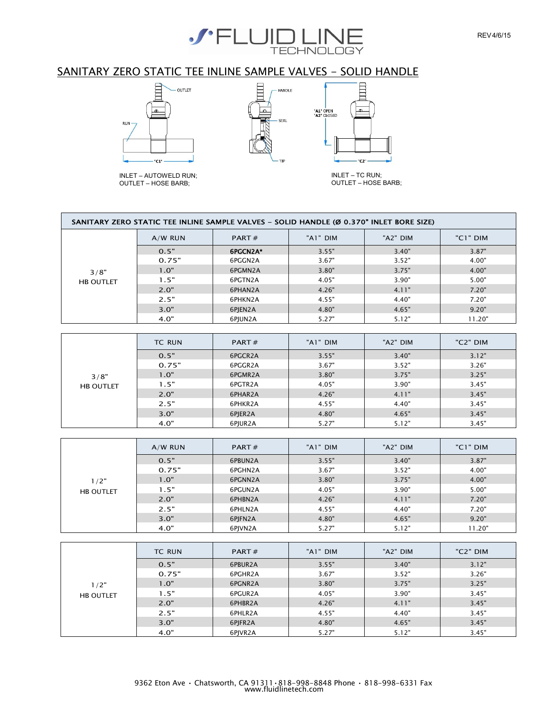

## SANITARY ZERO STATIC TEE INLINE SAMPLE VALVES - SOLID HANDLE



INLET – AUTOWELD RUN; OUTLET – HOSE BARB;



INLET – TC RUN; OUTLET – HOSE BARB;

C<sub>2</sub>

 $\Xi$ 

"A1" OPEN<br>"A2" CLOSED

|                  | $A/W$ RUN | PART#    | "A1" DIM | "A2" DIM | "C1" DIM |
|------------------|-----------|----------|----------|----------|----------|
|                  | 0.5"      | 6PGCN2A* | 3.55"    | 3.40"    | 3.87"    |
|                  | 0.75"     | 6PGGN2A  | 3.67"    | 3.52"    | 4.00"    |
| 3/8"             | 1.0"      | 6PGMN2A  | 3.80"    | 3.75"    | 4.00"    |
| <b>HB OUTLET</b> | 1.5"      | 6PGTN2A  | 4.05"    | 3.90"    | 5.00"    |
|                  | 2.0"      | 6PHAN2A  | 4.26"    | 4.11"    | 7.20"    |
|                  | 2.5"      | 6PHKN2A  | 4.55"    | 4.40"    | 7.20"    |
|                  | 3.0"      | 6PJEN2A  | 4.80"    | 4.65"    | 9.20"    |
|                  | 4.0"      | 6PJUN2A  | 5.27"    | 5.12"    | 11.20"   |
|                  | TC RUN    | PART#    | "A1" DIM | "A2" DIM | "C2" DIM |
|                  |           |          |          |          |          |
|                  | 0.5"      | 6PGCR2A  | 3.55"    | 3.40"    | 3.12"    |
|                  | 0.75"     | 6PGGR2A  | 3.67"    | 3.52"    | 3.26"    |
| 3/8"             | 1.0"      | 6PGMR2A  | 3.80"    | 3.75"    | 3.25"    |
| <b>HB OUTLET</b> | 1.5"      | 6PGTR2A  | 4.05"    | 3.90"    | 3.45"    |
|                  | 2.0"      | 6PHAR2A  | 4.26"    | 4.11"    | 3.45"    |
|                  | 2.5"      | 6PHKR2A  | 4.55"    | 4.40"    | 3.45"    |
|                  | 3.0"      | 6PJER2A  | 4.80"    | 4.65"    | 3.45"    |
|                  |           |          |          |          |          |

|                  | $A/W$ RUN | PART $#$ | "A1" DIM | "A2" DIM | "C1" DIM |
|------------------|-----------|----------|----------|----------|----------|
|                  | 0.5"      | 6PBUN2A  | 3.55"    | 3.40"    | 3.87"    |
|                  | 0.75"     | 6PGHN2A  | 3.67"    | 3.52"    | 4.00"    |
| 1/2"             | 1.0"      | 6PGNN2A  | 3.80"    | 3.75"    | 4.00"    |
| <b>HB OUTLET</b> | 1.5"      | 6PGUN2A  | 4.05"    | 3.90"    | 5.00"    |
|                  | 2.0"      | 6PHBN2A  | 4.26"    | 4.11"    | 7.20"    |
|                  | 2.5"      | 6PHLN2A  | 4.55"    | 4.40"    | 7.20"    |
|                  | 3.0"      | 6PJFN2A  | 4.80"    | 4.65"    | 9.20"    |
|                  | 4.0"      | 6PJVN2A  | 5.27"    | 5.12"    | 11.20"   |

|                  | <b>TC RUN</b> | PART $#$ | "A1" DIM | "A2" DIM | "C2" DIM |
|------------------|---------------|----------|----------|----------|----------|
|                  | 0.5"          | 6PBUR2A  | 3.55"    | 3.40"    | 3.12"    |
|                  | 0.75"         | 6PGHR2A  | 3.67"    | 3.52"    | 3.26"    |
| 1/2"             | 1.0"          | 6PGNR2A  | 3.80"    | 3.75"    | 3.25"    |
| <b>HB OUTLET</b> | 1.5"          | 6PGUR2A  | 4.05"    | 3.90"    | 3.45"    |
|                  | 2.0"          | 6PHBR2A  | 4.26"    | 4.11"    | 3.45"    |
|                  | 2.5"          | 6PHLR2A  | 4.55"    | 4.40"    | 3.45"    |
|                  | 3.0"          | 6PJFR2A  | 4.80"    | 4.65"    | 3.45"    |
|                  | 4.0"          | 6PJVR2A  | 5.27"    | 5.12"    | 3.45"    |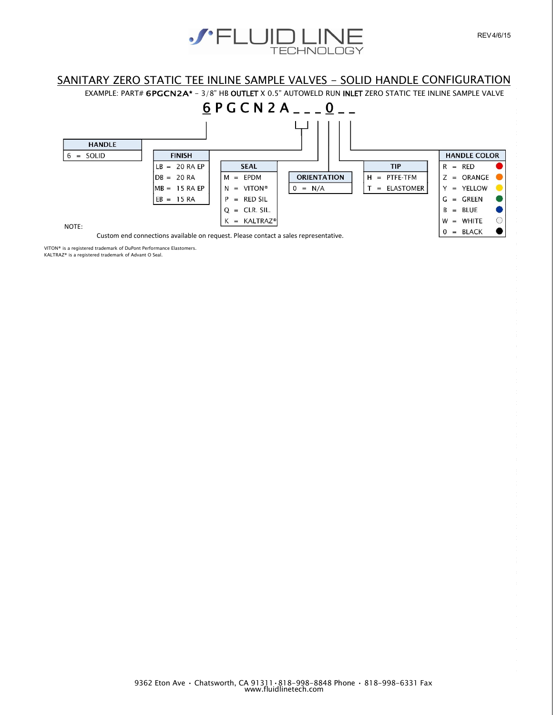

## SANITARY ZERO STATIC TEE INLINE SAMPLE VALVES - SOLID HANDLE CONFIGURATION

EXAMPLE: PART# 6PGCN2A\* - 3/8" HB OUTLET X 0.5" AUTOWELD RUN INLET ZERO STATIC TEE INLINE SAMPLE VALVE



VITON® is a registered trademark of DuPont Performance Elastomers.

KALTRAZ® is a registered trademark of Advant O Seal.